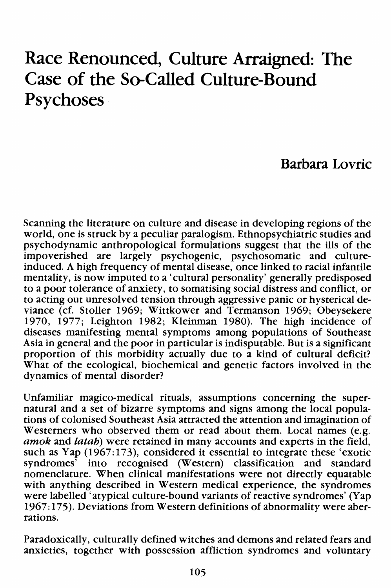# **Race Renounced, Culture Arraigned: The Case of the So-Called Culture-Bound Psychoses·**

## **Barbara Lovric**

Scanning the literature on culture and disease in developing regions of the world, one is struck by a peculiar paralogism. Ethnopsychiatric studies and psychodynamic anthropological formulations suggest that the ills of the impoverished are largely psychogenic, psychosomatic and cultureinduced. A high frequency of mental disease, once linked to racial infantile mentality, is now imputed to a 'cultural personality' generally predisposed to a poor tolerance of anxiety, to somatising social distress and conflict, or to acting out unresolved tension through aggressive panic or hysterical deviance (cf. Stoller 1969; Wittkower and Termanson 1969; Obeysekere 1970, 1977; Leighton 1982; Kleinman 1980). The high incidence of diseases manifesting mental symptoms among populations of Southeast Asia in general and the poor in particular is indisputable. But is a significant proportion of this morbidity actually due to a kind of cultural deficit? What of the ecological, biochemical and genetic factors involved in the dynamics of mental disorder?

Unfamiliar magico-medical rituals, assumptions concerning the supernatural and a set of bizarre symptoms and signs among the local populations of colonised Southeast Asia attracted the attention and imagination of Westerners who observed them or read about them. Local names (e.g. amok and latah) were retained in many accounts and experts in the field, such as Yap (1967:173), considered it essential to integrate these 'exotic syndromes' into recognised (Western) classification and standard nomenclature. When clinical manifestations were not directly equatable with anything described in Western medical experience, the syndromes were labelled 'atypical culture-bound variants of reactive syndromes' (Yap 1967: 175). Deviations from Western definitions of abnormality were aberrations.

Paradoxically, culturally defined witches and demons and related fears and anxieties, together with possession affliction syndromes and voluntary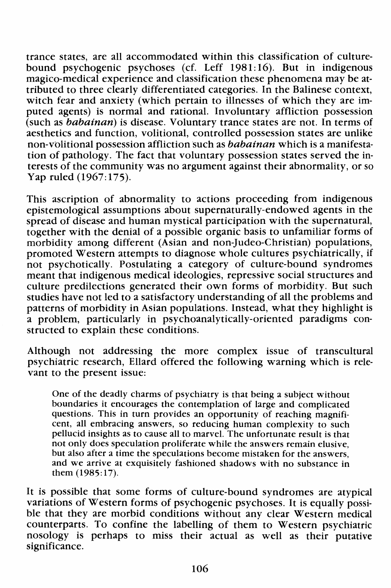trance states, are all accommodated within this classification of culturebound psychogenic psychoses ( cf. Leff 1981: 16). But in indigenous magico-medical experience and classification these phenomena may be attributed to three clearly differentiated categories. In the Balinese context, witch fear and anxiety (which pertain to illnesses of which they are imputed agents) is normal and rational. Involuntary affliction possession (such as babainan) is disease. Voluntary trance states are not. In terms of aesthetics and function, volitional, controlled possession states are unlike non-volitional possession affliction such as *babainan* which is a manifestation of pathology. The fact that voluntary possession states served the interests of the community was no argument against their abnormality, or so Yap ruled (1967:175).

This ascription of abnormality to actions proceeding from indigenous epistemological assumptions about supernaturally-endowed agents in the spread of disease and human mystical participation with the supernatural, together with the denial of a possible organic basis to unfamiliar forms of morbidity among different (Asian and non-Judeo-Christian) populations, promoted Western attempts to diagnose whole cultures psychiatrically, if not psychotically. Postulating a category of culture-bound syndromes meant that indigenous medical ideologies, repressive social structures and culture predilections generated their own forms of morbidity. But such studies have not led to a satisfactory understanding of all the problems and patterns of morbidity in Asian populations. Instead, what they highlight is a problem, particularly in psychoanalytically-oriented paradigms constructed to explain these conditions.

Although not addressing the more complex issue of transcultural psychiatric research, Ellard offered the following warning which is relevant to the present issue:

One of the deadly charms of psychiatry is that being a subject without boundaries it encourages the contemplation of large and complicated questions. This in turn provides an opportunity of reaching magnificent, all embracing answers, so reducing human complexity to such pellucid insights as to cause all to marvel. The unfortunate result is that not only does speculation proliferate while the answers remain elusive, but also after a time the speculations become mistaken for the answers, and we arrive at exquisitely fashioned shadows with no substance in them (1985:17).

It is possible that some forms of culture-bound syndromes are atypical variations of Western forms of psychogenic psychoses. It is equally possible that they are morbid conditions without any clear Western medical counterparts. To confine the labelling of them to Western psychiatric nosology is perhaps to miss their actual as well as their putative significance.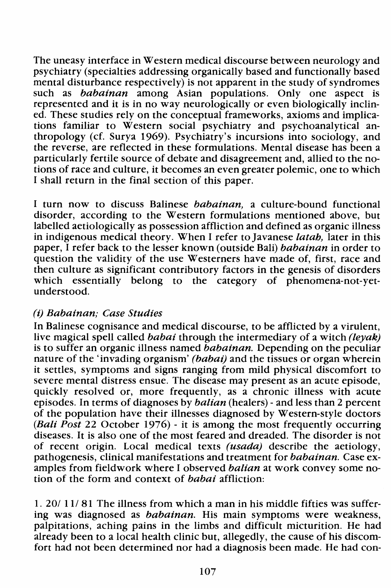The uneasy interface in Western medical discourse between neurology and psychiatry (specialties addressing organically based and functionally based mental disturbance respectively) is not apparent in the study of syndromes such as *babainan* among Asian populations. Only one aspect is represented and it is in no way neurologically or even biologically inclined. These studies rely on the conceptual frameworks, axioms and implications familiar to Western social psychiatry and psychoanalytical anthropology (cf. Surya 1969). Psychiatry's incursions into sociology, and the reverse, are reflected in these formulations. Mental disease has been a particularly fertile source of debate and disagreement and, allied to the notions of race and culture, it becomes an even greater polemic, one to which I shall return in the final section of this paper.

I turn now to discuss Balinese *babainan*, a culture-bound functional disorder, according to the Western formulations mentioned above, but labelled aetiologically as possession affliction and defined as organic illness in indigenous medical theory. When I refer to Javanese latah, later in this paper, I refer back to the lesser known (outside Bali) *babainan* in order to question the validity of the use Westerners have made of, first, race and then culture as significant contributory factors in the genesis of disorders which essentially belong to the category of phenomena-not-yetunderstood.

### (i) Babainan; Case Studies

In Balinese cognisance and medical discourse, to be afflicted by a virulent, live magical spell called *babai* through the intermediary of a witch *(leyak)* is to suffer an organic illness named babainan. Depending on the peculiar nature of the 'invading organism' (babai) and the tissues or organ wherein it settles, symptoms and signs ranging from mild physical discomfort to severe mental distress ensue. The disease may present as an acute episode, quickly resolved or, more frequently, as a chronic illness with acute episodes. In terms of diagnoses by *balian* (healers) - and less than 2 percent of the population have their illnesses diagnosed by Western-style doctors (Bali Post 22 October 1976) - it is among the most frequently occurring diseases. It is also one of the most feared and dreaded. The disorder is not of recent origin. Local medical texts (usada) describe the aetiology, pathogenesis, clinical manifestations and treatment for babainan. Case examples from fieldwork where I observed *balian* at work convey some notion of the form and context of *babai* affliction:

1. 20/ 11/ 81 The illness from which a man in his middle fifties was suffering was diagnosed as babainan. His main symptoms were weakness, palpitations, aching pains in the limbs and difficult micturition. He had already been to a local health clinic but, allegedly, the cause of his discomfort had not been determined nor had a diagnosis been made. He had con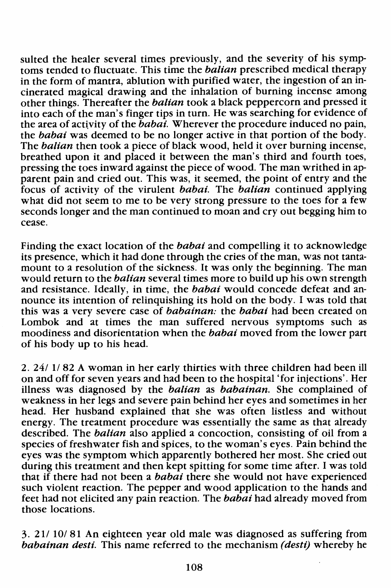sulted the healer several times previously, and the severity of his symptoms tended to fluctuate. This time the *balian* prescribed medical therapy in the form of mantra, ablution with purified water, the ingestion of an incinerated magical drawing and the inhalation of burning incense among other things. Thereafter the *balian* took a black peppercorn and pressed it into each of the man's finger tips in turn. He was searching for evidence of the area of activity of the  $\bar{b}$ abai. Wherever the procedure induced no pain, the babai was deemed to be no longer active in that portion of the body. The *balian* then took a piece of black wood, held it over burning incense, breathed upon it and placed it between the man's third and fourth toes, pressing the toes inward against the piece of wood. The man writhed in apparent pain and cried out. This was, it seemed, the point of entry and the focus of activity of the virulent *babai*. The *balian* continued applying what did not seem to me to be very strong pressure to the toes for a few seconds longer and the man continued to moan and cry out begging him to cease.

Finding the exact location of the *babai* and compelling it to acknowledge its presence, which it had done through the cries of the man, was not tantamount to a resolution of the sickness. It was only the beginning. The man would return to the *balian* several times more to build up his own strength and resistance. Ideally, in time, the *babai* would concede defeat and announce its intention of relinquishing its hold on the body. I was told that this was a very severe case of babainan: the babai had been created on Lombok and at times the man suffered nervous symptoms such as moodiness and disorientation when the *babai* moved from the lower part of his body up to his head.

2. 24/ 11 82 A woman in her early thirties with three children had been ill on and off for seven years and had been to the hospital 'for injections'. Her illness was diagnosed by the balian as babainan. She complained of weakness in her legs and severe pain behind her eyes and sometimes in her head. Her husband explained that she was often listless and without energy. The treatment procedure was essentially the same as that already described. The *balian* also applied a concoction, consisting of oil from a species of freshwater fish and spices, to the woman's eyes. Pain behind the eyes was the symptom which apparently bothered her most. She cried out during this treatment and then kept spitting for some time after. I was told that if there had not been a *babai* there she would not have experienced such violent reaction. The pepper and wood application to the hands and feet had not elicited any pain reaction. The babai had already moved from those locations.

3. 211 10/ 81 An eighteen year old male was diagnosed as suffering from babainan desti. This name referred to the mechanism (desti) whereby he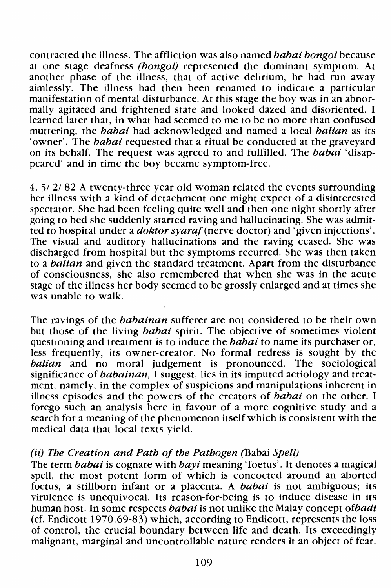contracted the illness. The affliction was also named *babai bongo/* because at one stage deafness *(bongo/)* represented the dominant symptom. At another phase of the illness, that of active delirium, he had run away aimlessly. The illness had then been renamed to indicate a particular manifestation of mental disturbance. At this stage the boy was in an abnormally agitated and frightened state and looked dazed and disoriented. I learned later that, in what had seemed to me to be no more than confused muttering, the *babai* had acknowledged and named a local *balian* as its 'owner'. The *babai* requested that a ritual be conducted at the graveyard on its behalf. The request was agreed to and fulfilled. The *babai* 'disappeared' and in time the boy became symptom-free.

4. 5/ 2/ 82 A twenty-three year old woman related the events surrounding her illness with a kind of detachment one might expect of a disinterested spectator. She had been feeling quite well and then one night shortly after going to bed she suddenly started raving and hallucinating. She was admitted to hospital under a *doktor syaraf(nerve* doctor) and 'given injections'. The visual and auditory hallucinations and the raving ceased. She was discharged from hospital but the symptoms recurred. She was then taken to a *balian* and given the standard treatment. Apart from the disturbance of consciousness, she also remembered that when she was in the acute stage of the illness her body seemed to be grossly enlarged and at times she was unable to walk.

The ravings of the *babainan* sufferer are not considered to be their own but those of the living *babai* spirit. The objective of sometimes violent questioning and treatment is to induce the *babai* to name its purchaser or, less frequently, its owner-creator. No formal redress is sought by the *balian* and no moral judgement is pronounced. The sociological significance of *babainan,* I suggest, lies in its imputed aetiology and treatment, namely, in the complex of suspicions and manipulations inherent in illness episodes and the powers of the creators of *babai* on the other. I forego such an analysis here in favour of a more cognitive study and a search for a meaning of the phenomenon itself which is consistent with the medical data that local texts vield.

#### (ii) *The Creation and Path of the Pathogen* (Babai *Spell)*

The term *babai* is cognate with *bayi* meaning 'foetus'. It denotes a magical spell, the most potent form of which is concocted around an aborted foetus, a stillborn infant or a placenta. A *babai* is not ambiguous; its virulence is unequivocal. Its reason-for-being is to induce disease in its human host. In some respects *babai* is not unlike the Malay concept *ofbadi*  (cf. Endicott 1970:69-83) which, according to Endicott, represents the loss of control, the crucial boundary between life and death. Its exceedingly malignant, marginal and uncontrollable nature renders it an object of fear.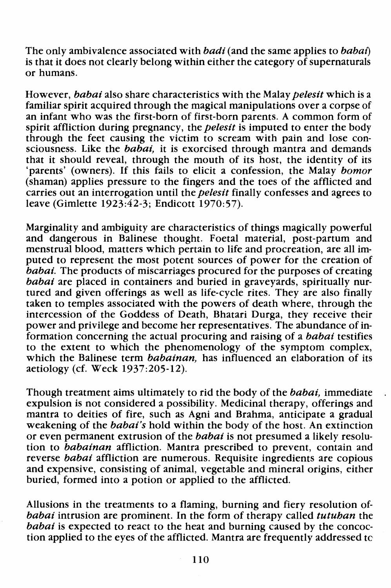The only ambivalence associated with *badi* (and the same applies to *babat)*  is that it does not clearly belong within either the category of supernaturals or humans.

However, *babai* also share characteristics with the Malay *pelesit* which is a familiar spirit acquired through the magical manipulations over a corpse of an infant who was the first-born of first-born parents. A common form of spirit affliction during pregnancy, the *pelesit* is imputed to enter the body through the feet causing the victim to scream with pain and lose consciousness. Like the *babai,* it is exorcised through mantra and demands that it should reveal, through the mouth of its host, the identity of its 'parents' (owners). If this fails to elicit a confession, the Malay bomor (shaman) applies pressure to the fingers and the toes of the afflicted and carries out an interrogation until the *pelesit* finally confesses and agrees to leave (Gimlette 1923:42-3; Endicott 1970:57).

Marginality and ambiguity are characteristics of things magically powerful and dangerous in Balinese thought. Foetal material, post-partum and menstrual blood, matters which pertain to life and procreation, are all imputed to represent the most potent sources of power for the creation of *babai*. The products of miscarriages procured for the purposes of creating *babai* are placed in containers and buried in graveyards, spiritually nurtured and given offerings as well as life-cycle rites. They are also finally taken to temples associated with the powers of death where, through the intercession of the Goddess of Death, Bhatari Durga, they receive their power and privilege and become her representatives. The abundance of information concerning the actual procuring and raising of a *babai* testifies to the extent to which the phenomenology of the symptom complex, which the Balinese term *babainan*, has influenced an elaboration of its aetiology (cf. Week 1937:205-12).

Though treatment aims ultimately to rid the body of the *babai,* immediate expulsion is not considered a possibility. Medicinal therapy, offerings and mantra to deities of fire, such as Agni and Brahma, anticipate a gradual weakening of the *babai's* hold within the body of the host. An extinction or even petmanent extrusion of the *babai* is not presumed a likely resolution to *babainan* affliction. Mantra prescribed to prevent, contain and reverse *babai* affliction are numerous. Requisite ingredients are copious and expensive, consisting of animal, vegetable and mineral origins, either buried, formed into a potion or applied to the afflicted.

Allusions in the treatments to a flaming, burning and fiery resolution of*babai* intrusion are prominent. In the form of therapy called *tutuhan* the *babai* is expected to react to the heat and burning caused by the concoction applied to the eyes of the afflicted. Mantra are frequently addressed *tc*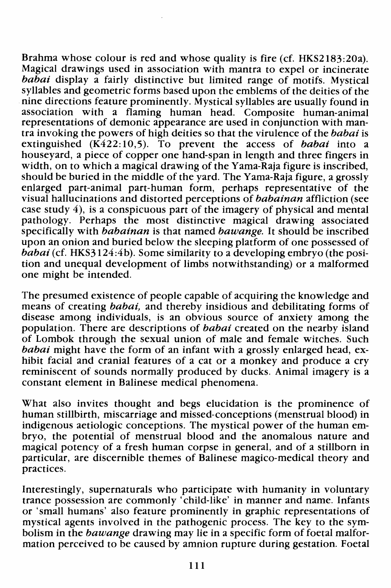Brahma whose colour is red and whose quality is fire (cf. HKS2183:20a). Magical drawings used in association with mantra to expel or incinerate babai display a fairly distinctive but limited range of motifs. Mystical syllables and geometric forms based upon the emblems of the deities of the nine directions feature prominently. Mystical syllables are usually found in association with a flaming human head. Composite human-animal representations of demonic appearance are used in conjunction with mantra invoking the powers of high deities so that the virulence of the babai is extinguished  $(K422:10,5)$ . To prevent the access of babai into a houseyard, a piece of copper one hand-span in length and three fingers in width, on to which a magical drawing of the Yama-Raja figure is inscribed, should be buried in the middle of the yard. The Yama-Raja figure, a grossly enlarged part-animal part-human form, perhaps representative of the visual hallucinations and distorted perceptions of babainan affliction (see case study 4), is a conspicuous part of the imagery of physical and mental pathology. Perhaps the most distinctive magical drawing associated specifically with *babainan* is that named *bawange*. It should be inscribed upon an onion and buried below the sleeping platform of one possessed of babai (cf. HKS3124:4b). Some similarity to a developing embryo (the position and unequal development of limbs notwithstanding) or a malformed one might be intended.

The presumed existence of people capable of acquiring the knowledge and means of creating *babai*, and thereby insidious and debilitating forms of disease among individuals, is an obvious source of anxiety among the population. There are descriptions of *babai* created on the nearby island of Lombok through the sexual union of male and female witches. Such babai might have the form of an infant with a grossly enlarged head, exhibit facial and cranial features of a cat or a monkey and produce a cry reminiscent of sounds normally produced by ducks. Animal imagery is a constant element in Balinese medical phenomena.

What also invites thought and begs elucidation is the prominence of human stillbirth, miscarriage and missed-conceptions (menstrual blood) in indigenous aetiologic conceptions. The mystical power of the human embryo, the potential of menstrual blood and the anomalous nature and magical potency of a fresh human corpse in general, and of a stillborn in particular, are discernible themes of Balinese magico-medical theory and practices.

Interestingly, supernaturals who participate with humanity in voluntary trance possession are commonly 'child-like' in manner and name. Infants or 'small humans' also feature prominently in graphic representations of mystical agents involved in the pathogenic process. The key to the symbolism in the *bawange* drawing may lie in a specific form of foetal malformation perceived to be caused by amnion rupture during gestation. Foetal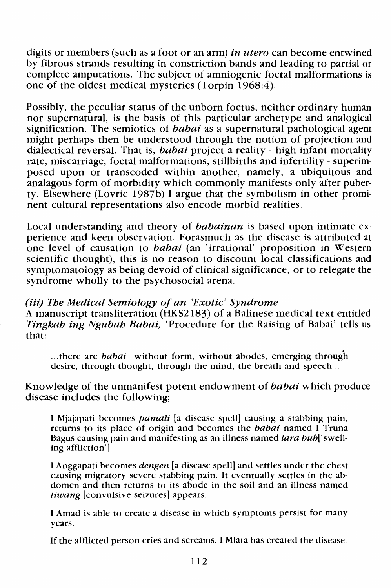digits or members (such as a foot or an arm) in utero can become entwined by fibrous strands resulting in constriction bands and leading to partial or complete amputations. The subject of amniogenic foetal malformations is one of the oldest medical mysteries (Torpin 1968:4).

Possibly, the peculiar status of the unborn foetus, neither ordinary human nor supernatural, is the basis of this particular archetype and analogical signification. The semiotics of *babai* as a supernatural pathological agent might perhaps then be understood through the notion of projection and dialectical reversal. That is, babai project a reality - high infant mortality rate, miscarriage, foetal malformations, stillbirths and infertility- superimposed upon or transcoded within another, namely, a ubiquitous and analagous form of morbidity which commonly manifests only after puberty. Elsewhere (Lovric 1987b) I argue that the symbolism in other prominent cultural representations also encode morbid realities.

Local understanding and theory of babainan is based upon intimate experience and keen observation. Forasmuch as the disease is attributed at one level of causation to babai (an 'irrational' proposition in Western scientific thought), this is no reason to discount local classifications and symptomatology as being devoid of clinical significance, or to relegate the syndrome wholly to the psychosocial arena.

#### (iii) The Medical Semiology of an 'Exotic' Syndrome

A manuscript transliteration (HKS2183) of a Balinese medical text entitled Tingkab ing Ngubah Babai, 'Procedure for the Raising of Babai' tells us that:

... there are *babai* without form, without abodes, emerging through desire, through thought, through the mind, the breath and speech...

#### Knowledge of the unmanifest potent endowment of *babai* which produce disease includes the following;

I Mjajapati becomes *pamali* [a disease spell] causing a stabbing pain, returns to its place of origin and becomes the *babai* named I Truna Bagus causing pain and manifesting as an illness named *lara bub*['swelling affliction'].

I Anggapati becomes *dengen* [a disease spell] and settles under the chest causing migratory severe stabbing pain. It eventually settles in the abdomen and then returns to its abode in the soil and an illness named *tiwang* [convulsive seizures] appears.

I Amad is able to create a disease in which symptoms persist for many years.

If the afflicted person cries and screams, I Mlata has created the disease.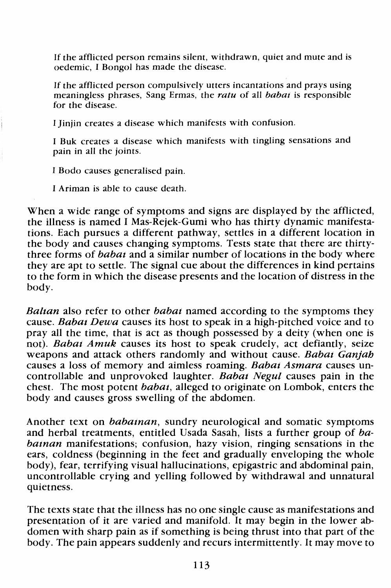If the afflicted person remains silent, withdrawn, quiet and mute and is oedemic, I Bongo! has made the disease.

If the afflicted person compulsively utters incantations and prays using meaningless phrases, Sang Ermas, the *ratu* of all *babat* is responsible for the disease.

I Jinjin creates a disease which manifests with confusion.

I Buk creates a disease which manifests with tingling sensations and pain in all the joints.

I Bodo causes generalised pain.

I Ariman is able to cause death.

When a wide range of symptoms and signs are displayed by the afflicted, the illness is named I Mas-Rejek-Gumi who has thirty dynamic manifestations. Each pursues a different pathway, settles in a different location in the body and causes changing symptoms. Tests state that there are thirtythree forms of *babaz* and a similar number of locations in the body where they are apt to settle. The signal cue about the differences in kind pertains to the form in which the disease presents and the location of distress in the body.

*Balzan* also refer to other *babaz* named according to the symptoms they cause. *Babaz Dewa* causes its host to speak in a high-pitched voice and to pray all the time, that is act as though possessed by a deity (when one is not). *Babaz Amuk* causes its host to speak crudely, act defiantly, seize weapons and attack others randomly and without cause. *Babat Ganjah*  causes a loss of memory and aimless roaming. *Babat Asmara* causes uncontrollable and unprovoked laughter. *Babaz Negul* causes pain in the chest. The most potent *babaz,* alleged to originate on Lombok, enters the body and causes gross swelling of the abdomen.

Another text on *babaznan,* sundry neurological and somatic symptoms and herbal treatments, entitled Usada Sasah, lists a further group of *ba*bainan manifestations; confusion, hazy vision, ringing sensations in the ears, coldness (beginning in the feet and gradually enveloping the whole body), fear, terrifying visual hallucinations, epigastric and abdominal pain, body), teal, terms in what indicated the second and unnatural uncontrollable crying and yelling followed by withdrawal and unnatural quietness.

The texts state that the illness has no one single cause as manifestations and presentation of it are varied and manifold. It may begin in the lower abdomen with sharp pain as if something is being thrust into that part of the body. The pain appears suddenly and recurs intermittently. It may move to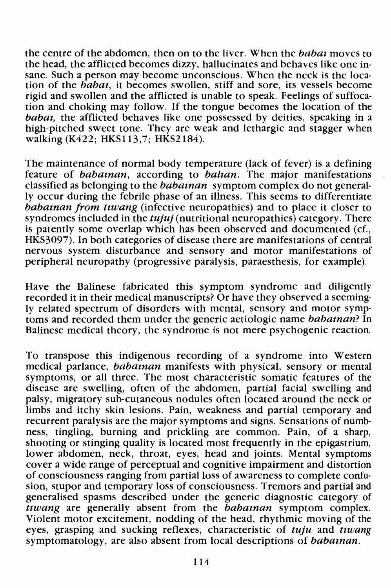the centre of the abdomen, then on to the liver. When the *babat* moves to the head, the afflicted becomes dizzy, hallucinates and behaves like one insane. Such a person may become unconscious. When the neck is the location of the *babat,* it becomes swollen, stiff and sore, its vessels become rigid and swollen and the afflicted is unable to speak. Feelings of suffocation and choking may follow. If the tongue becomes the location of the *babat*, the afflicted behaves like one possessed by deities, speaking in a high-pitched sweet tone. They are weak and lethargic and stagger when walking (K422; HKS113,7; HKS2184).

The maintenance of normal body temperature (lack of fever) is a defining feature of *babaman,* according to *baltan.* The major manifestations classified as belonging to the *babatnan* symptom complex do not generally occur during the febrile phase of an illness. This seems to differentiate *babatnan from ttwang* (infective neuropathies) and to place it closer to syndromes included in the *tujuj* (nutritional neuropathies) category. There is patently some overlap which has been observed and documented (cf., HKS3097). In both categories of disease there are manifestations of central nervous system disturbance and sensory and motor manifestations of peripheral neuropathy (progressive paralysis, paraesthesis, for example).

Have the Balinese fabricated this symptom syndrome and diligently recorded it in their medical manuscripts? Or have they observed a seemingly related spectrum of disorders with mental, sensory and motor symptoms and recorded them under the generic aetiologic name *babatnan?* In Balinese medical theory, the syndrome is not mere psychogenic reaction.

To transpose this indigenous recording of a syndrome into Western medical parlance, *babatnan* manifests with physical, sensory or mental symptoms, or all three. The most characteristic somatic features of the disease are swelling, often of the abdomen, partial facial swelling and palsy, migratory sub-cutaneous nodules often located around the neck or limbs and itchy skin lesions. Pain, weakness and partial temporary and recurrent paralysis are the major symptoms and signs. Sensations of numbness, tingling, burning and prickling are common. Pain, of a sharp, shooting or stinging quality is located most frequently in the epigastrium, lower abdomen, neck, throat, eyes, head and joints. Mental symptoms cover a wide range of perceptual and cognitive impairment and distortion of consciousness ranging from partial loss of awareness to complete confusion, stupor and temporary loss of consciousness. Tremors and partial and generalised spasms described under the generic diagnostic category of *ttwang* are generally absent from the *babatnan* symptom complex. Violent motor excitement, nodding of the head, rhythmic moving of the eyes, grasping and sucking reflexes, characteristic of *tuju* and *ttwang*  symptomatology, are also absent from local descriptions of *babatnan.*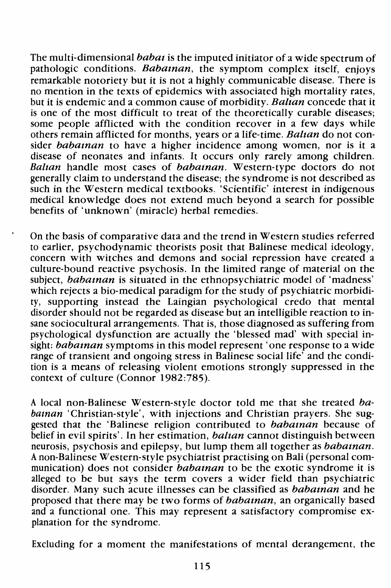The multi-dimensional babat is the imputed initiator of a wide spectrum of pathologic conditions. *Babatnan*, the symptom complex itself, enjoys remarkable notoriety but it is not a highly communicable disease. There is no mention in the texts of epidemics with associated high mortality rates, but it is endemic and a common cause of morbidity. Balian concede that it is one of the most difficult to treat of the theoretically curable diseases; some people afflicted with the condition recover in a few days while others remain afflicted for months, years or a life-time. Baltan do not consider *babatnan* to have a higher incidence among women, nor is it a disease of neonates and infants. It occurs only rarely among children. Baltan handle most cases of babainan. Western-type doctors do not generally claim to understand the disease; the syndrome is not described as such in the Western medical textbooks. 'Scientific' interest in indigenous medical knowledge does not extend much beyond a search for possible benefits of 'unknown' (miracle) herbal remedies.

On the basis of comparative data and the trend in Western studies referred to earlier, psychodynamic theorists posit that Balinese medical ideology, concern with witches and demons and social repression have created a culture-bound reactive psychosis. In the limited range of material on the subject, *babatnan* is situated in the ethnopsychiatric model of 'madness' which rejects a bio-medical paradigm for the study of psychiatric morbidity, supporting instead the Laingian psychological credo that mental disorder should not be regarded as disease but an intelligible reaction to insane sociocultural arrangements. That is, those diagnosed as suffering from psychological dysfunction are actually the 'blessed mad' with special insight: *babat nan* symptoms in this model represent 'one response to a wide range of transient and ongoing stress in Balinese social life' and the condition is a means of releasing violent emotions strongly suppressed in the context of culture (Connor 1982:785).

A local non-Balinese Western-style doctor told me that she treated babainan 'Christian-style', with injections and Christian prayers. She suggested that the 'Balinese religion contributed to babainan because of belief in evil spirits'. In her estimation, *baltan* cannot distinguish between neurosis, psychosis and epilepsy, but lump them all together as babatnan. A non-Balinese Western-style psychiatrist practising on Bali (personal communication) does not consider *babatnan* to be the exotic syndrome it is alleged to be but says the term covers a wider field than psychiatric disorder. Many such acute illnesses can be classified as *babainan* and he proposed that there may be two forms of *babat nan*, an organically based and a functional one. This may represent a satisfactory compromise explanation for the syndrome.

Excluding for a moment the manifestations of mental derangement, the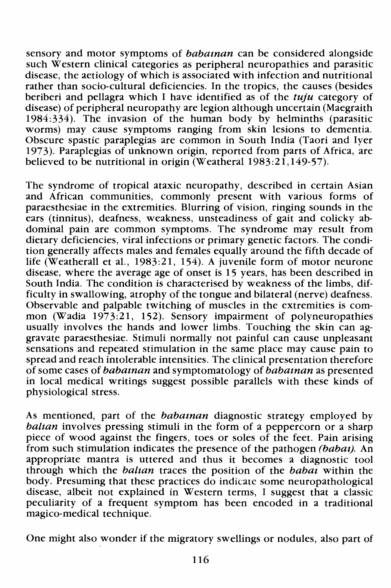sensory and motor symptoms of babainan can be considered alongside such Western clinical categories as peripheral neuropathies and parasitic disease, the aetiology of which is associated with infection and nutritional rather than socio-cultural deficiencies. In the tropics, the causes (besides beriberi and pellagra which I have identified as of the *tuju* category of disease) of peripheral neuropathy are legion although uncertain (Maegraith 1984:334). The invasion of the human body by helminths (parasitic worms) may cause symptoms ranging from skin lesions to dementia. Obscure spastic paraplegias are common in South India (Taori and Iyer 1973). Paraplegias of unknown origin, reported from parts of Africa, are believed to be nutritional in origin (Weatheral  $1983:21,149-57$ ).

The syndrome of tropical ataxic neuropathy, described in certain Asian and African communities, commonly present with various forms of paraesthesiae in the extremities. Blurring of vision, ringing sounds in the ears (tinnitus), deafness, weakness, unsteadiness of gait and colicky abdominal pain are common symptoms. The syndrome may result from dietary deficiencies, viral infections or primary genetic factors. The condition generally affects males and females equally around the fifth decade of life (Weatherall et al., 1983:21, 154). A juvenile form of motor neurone disease, where the average age of onset is 15 years, has been described in South India. The condition is characterised by weakness of the limbs, difficulty in swallowing, atrophy of the tongue and bilateral (nerve) deafness. Observable and palpable twitching of muscles in the extremities is common (Wadia 1973:21, 152). Sensory impairment of polyneuropathies usually involves the hands and lower limbs. Touching the skin can aggravate paraesthesiae. Stimuli normally not painful can cause unpleasant sensations and repeated stimulation in the same place may cause pain to spread and reach intolerable intensities. The clinical presentation therefore of some cases of *babatnan* and symptomatology of *babatnan* as presented in local medical writings suggest possible parallels with these kinds of physiological stress.

As mentioned, part of the babainan diagnostic strategy employed by baltan involves pressing stimuli in the form of a peppercorn or a sharp piece of wood against the fingers, toes or soles of the feet. Pain arising from such stimulation indicates the presence of the pathogen *(babat)*. An appropriate mantra is uttered and thus it becomes a diagnostic tool through which the *balian* traces the position of the *babat* within the body. Presuming that these practices do indicate some neuropathological disease, albeit not explained in Western terms, I suggest that a classic peculiarity of a frequent symptom has been encoded in a traditional magico-medical technique.

One might also wonder if the migratory swellings or nodules, also part of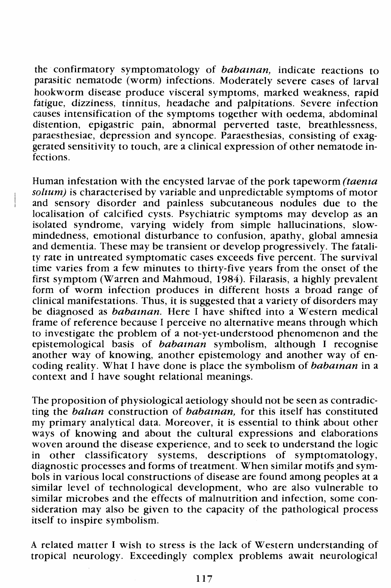the confirmatory symptomatology of babaman, indicate reactions to parasitic nematode (worm) infections. Moderately severe cases of larval hookworm disease produce visceral symptoms, marked weakness, rapid fatigue, dizziness, tinnitus, headache and palpitations. Severe infection causes intensification of the symptoms together with oedema, abdominal distention, epigastric pain, abnormal perverted taste, breathlessness, paraesthesiae, depression and syncope. Paraesthesias, consisting of exaggerated sensitivity to touch, are a clinical expression of other nematode infections.

Human infestation with the encysted larvae of the pork tapeworm *(taenia*) solum) is characterised by variable and unpredictable symptoms of motor and sensory disorder and painless subcutaneous nodules due to the localisation of calcified cysts. Psychiatric symptoms may develop as an isolated syndrome, varying widely from simple hallucinations, slowmindedness, emotional disturbance to confusion, apathy, global amnesia and dementia. These may be transient or develop progressively. The fatality rate in untreated symptomatic cases exceeds five percent. The survival time varies from a few minutes to thirty-five years from the onset of the first symptom (Warren and Mahmoud, 1984). Filarasis, a highly prevalent form of worm infection produces in different hosts a broad range of clinical manifestations. Thus, it is suggested that a variety of disorders may be diagnosed as *babatnan*. Here I have shifted into a Western medical frame of reference because I perceive no alternative means through which to investigate the problem of a not-yet-understood phenomenon and the epistemological basis of babainan symbolism, although I recognise another way of knowing, another epistemology and another way of encoding reality. What I have done is place the symbolism of *babainan* in a context and I have sought relational meanings.

The proposition of physiological aetiology should not be seen as contradicting the *baltan* construction of *babatnan*, for this itself has constituted my primary analytical data. Moreover, it is essential to think about other ways of knowing and about the cultural expressions and elaborations woven around the disease experience, and to seek to understand the logic in other classificatory systems, descriptions of symptomatology, diagnostic processes and forms of treatment. When similar motifs and symbols in various local constructions of disease are found among peoples at a similar level of technological development, who are also vulnerable to similar microbes and the effects of malnutrition and infection, some consideration may also be given to the capacity of the pathological process itself to inspire symbolism.

A related matter I wish to stress is the lack of Western understanding of tropical neurology. Exceedingly complex problems await neurological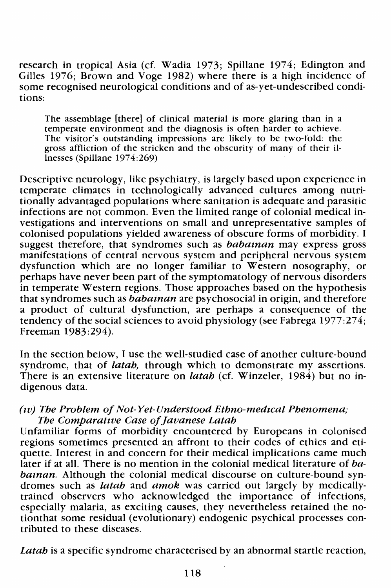research in tropical Asia (cf. Wadia 1973; Spillane 1974; Edington and Gilles 1976; Brown and Voge 1982) where there is a high incidence of some recognised neurological conditions and of as-yet-undescribed conditions:

The assemblage [there] of clinical material is more glaring than in a temperate environment and the diagnosis is often harder to achieve. The visitor's outstanding impressions are likely to be two-fold: the gross affliction of the stricken and the obscurity of many of their illnesses (Spillane 1974:269)

Descriptive neurology, like psychiatry, is largely based upon experience in temperate climates in technologically advanced cultures among nutritionally advantaged populations where sanitation is adequate and parasitic infections are not common. Even the limited range of colonial medical investigations and interventions on small and unrepresentative samples of colonised populations yielded awareness of obscure forms of morbidity. I suggest therefore, that syndromes such as *babatnan* may express gross manifestations of central nervous system and peripheral nervous system dysfunction which are no longer familiar to Western nosography, or perhaps have never been part of the symptomatology of nervous disorders in temperate Western regions. Those approaches based on the hypothesis that syndromes such as *babaman* are psychosocial in origin, and therefore a product of cultural dysfunction, are perhaps a consequence of the tendency of the social sciences to avoid physiology (see Fabrega 1977:274; Freeman 1983:294).

In the section below, I use the well-studied case of another culture-bound syndrome, that of *latah,* through which to demonstrate my assertions. There is an extensive literature on *latah* (cf. Winzeler, 1984) but no indigenous data.

#### *(tv} The Problem of Not- Yet-Understood Ethno-medtcal Phenomena; The Comparattve Case of Javanese Latah*

Unfamiliar forms of morbidity encountered by Europeans in colonised regions sometimes presented an affront to their codes of ethics and etiquette. Interest in and concern for their medical implications came much later if at all. There is no mention in the colonial medical literature of *babaman.* Although the colonial medical discourse on culture-bound syndromes such as *latah* and *amok* was carried out largely by medicallytrained observers who acknowledged the importance of infections, especially malaria, as exciting causes, they nevertheless retained the notionthat some residual (evolutionary) endogenic psychical processes contributed to these diseases.

*Latah* is a specific syndrome characterised by an abnormal startle reaction,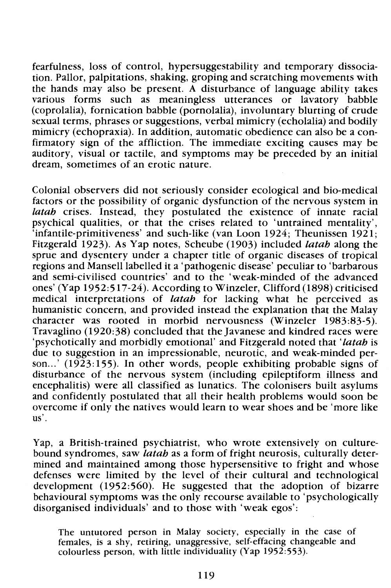fearfulness, loss of control, hypersuggestability and temporary dissociation. Pallor, palpitations, shaking, groping and scratching movements with the hands may also be present. A disturbance of language ability takes various forms such as meaningless utterances or lavatory babble (coprolalia), fornication babble (pornolalia), involuntary blurting of crude sexual terms, phrases or suggestions, verbal mimicry (echolalia) and bodily mimicry (echopraxia). In addition, automatic obedience can also be a confirmatory sign of the affliction. The immediate exciting causes may be auditory, visual or tactile, and symptoms may be preceded by an initial dream, sometimes of an erotic nature.

Colonial observers did not seriously consider ecological and bio-medical factors or the possibility of organic dysfunction of the nervous system in *latah* crises. Instead, they postulated the existence of innate racial psychical qualities, or that the crises related to 'untrained mentality', 'infantile-primitiveness' and such-like (van Loon 1924; Theunissen 1921; Fitzgerald 1923). As Yap notes, Scheube (1903) included *latah* along the sprue and dysentery under a chapter title of organic diseases of tropical regions and Mansell labelled it a 'pathogenic disease' peculiar to 'barbarous and semi-civilised countries' and to the 'weak-minded of the advanced ones' (Yap 1952:517-24). According to Winzeler, Clifford (1898) criticised medical interpretations of *latah* for lacking what he perceived as humanistic concern, and provided instead the explanation that the Malay character was rooted in morbid nervousness (Winzeler 1983:83-5). Travaglino (1920:38) concluded that the Javanese and kindred races were 'psychotically and morbidly emotional' and Fitzgerald noted that *'latah* is due to suggestion in an impressionable, neurotic, and weak-minded person...' (1923:155). In other words, people exhibiting probable signs of disturbance of the nervous system (including epileptiform illness and encephalitis) were all classified as lunatics. The colonisers built asylums and confidently postulated that all their health problems would soon be overcome if only the natives would learn to wear shoes and be 'more like us'.

Yap, a British-trained psychiatrist, who wrote extensively on culturebound syndromes, saw *latah* as a form of fright neurosis, culturally determined and maintained among those hypersensitive to fright and whose defenses were limited by the level of their cultural and technological development (1952:560). He suggested that the adoption of bizarre behavioural symptoms was the only recourse available to 'psychologically disorganised individuals' and to those with 'weak egos':

The untutored person in Malay society, especially in the case of females, is a shy, retiring, unaggressive, self-effacing changeable and colourless person, with little individuality (Yap 1952:553).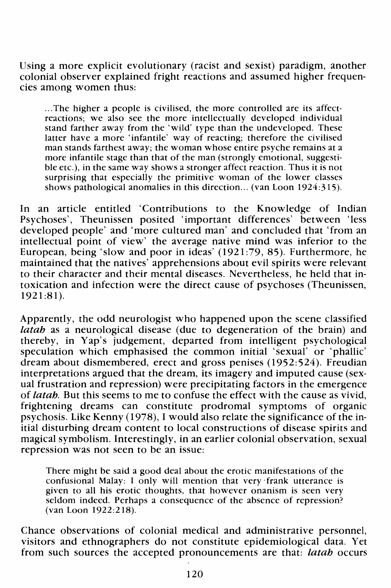Using a more explicit evolutionary (racist and sexist) paradigm, another colonial observer explained fright reactions and assumed higher frequencies among women thus:

... The higher a people is civilised, the more controlled are its affectreactions; we also see the more intellectually developed individual stand farther away from the 'wild' type than the undeveloped. These latter have a more 'infantile' way of reacting; therefore the civilised man stands farthest away; the woman whose entire psyche remains at a more infantile stage than that of the man (strongly emotional, suggestible etc.), in the same way shows a stronger affect reaction. Thus it is not surprising that especially the primitive woman of the lower classes shows pathological anomalies in this direction... (van Loon 1924:315).

In an article entitled 'Contributions to the Knowledge of Indian Psychoses', Theunissen posited 'important differences' between 'less developed people' and 'more cultured man' and concluded that 'from an intellectual point of view' the average native mind was inferior to the European, being 'slow and poor in ideas' (1921:79, 85). Furthermore, he maintained that the natives' apprehensions about evil spirits were relevant to their character and their mental diseases. Nevertheless, he held that intoxication and infection were the direct cause of psychoses (Theunissen, 1921:81).

Apparently, the odd neurologist who happened upon the scene classified *latah* as a neurological disease (due to degeneration of the brain) and thereby, in Yap's judgement, departed from intelligent psychological speculation which emphasised the common initial 'sexual' or 'phallic' dream about dismembered, erect and gross penises (1952:524). Freudian interpretations argued that the dream, its imagery and imputed cause (sexual frustration and repression) were precipitating factors in the emergence of *latah.* But this seems to me to confuse the effect with the cause as vivid, frightening dreams can constitute prodromal symptoms of organic psychosis. Like Kenny (1978), I would also relate the significance of the initial disturbing dream content to local constructions of disease spirits and magical symbolism. Interestingly, in an earlier colonial observation, sexual repression was not seen to be an issue:

There might be said a good deal about the erotic manifestations of the confusional Malay: I only will mention that very ·frank utterance is given to all his erotic thoughts, that however onanism is seen very seldom indeed. Perhaps a consequence of the absence of repression? (van Loon 1922:218).

Chance observations of colonial medical and administrative personnel, visitors and ethnographers do not constitute epidemiological data. Yet from such sources the accepted pronouncements are that: *latah* occurs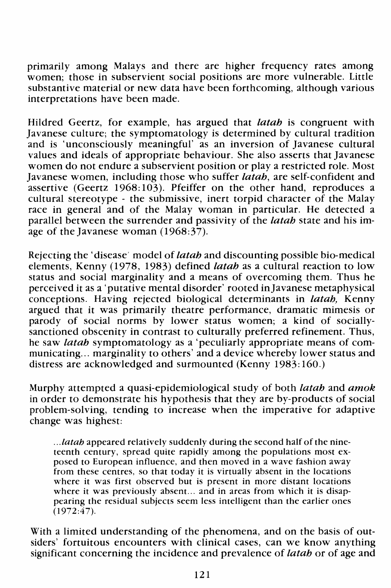primarily among Malays and there are higher frequency rates among women; those in subservient social positions are more vulnerable. Little substantive material or new data have been forthcoming, although various interpretations have been made.

Hildred Geertz, for example, has argued that *latah* is congruent with Javanese culture; the symptomatology is determined by cultural tradition and is 'unconsciously meaningful' as an inversion of Javanese cultural values and ideals of appropriate behaviour. She also asserts that Javanese women do not endure a subservient position or play a restricted role. Most Javanese women, including those who suffer *latah,* are self-confident and assertive (Geertz 1968:103). Pfeiffer on the other hand, reproduces a cultural stereotype - the submissive, inert torpid character of the Malay race in general and of the Malay woman in particular. He detected a parallel between the surrender and passivity of the *latah* state and his image of the Javanese woman  $(1968:37)$ .

Rejecting the' disease model of *latah* and discounting possible bio-medical elements, Kenny (1978, 1983) defined *latah* as a cultural reaction to low status and social marginality and a means of overcoming them. Thus he perceived it as a 'putative mental disorder' rooted inJavanese metaphysical conceptions. Having rejected biological determinants in *latah,* Kenny argued that it was primarily theatre performance, dramatic mimesis or parody of social norms by lower status women; a kind of sociallysanctioned obscenity in contrast to culturally preferred refinement. Thus, he saw *latah* symptomatology as a 'peculiarly appropriate means of communicating... marginality to others' and a device whereby lower status and distress are acknowledged and surmounted (Kenny 1983: 160.)

Murphy attempted a quasi-epidemiological study of both *latah* and *amok*  in order to demonstrate his hypothesis that they are by-products of social problem-solving, tending to increase when the imperative for adaptive change was highest:

... *latah* appeared relatively suddenly during the second half of the nineteenth century, spread quite rapidly among the populations most exposed to European influence, and then moved in a wave fashion away from these centres, so that today it is virtually absent in the locations where it was first observed but is present in more distant locations where it was previously absent... and in areas from which it is disappearing the residual subjects seem less intelligent than the earlier ones  $(1972:47)$ .

With a limited understanding of the phenomena, and on the basis of outsiders' fortuitous encounters with clinical cases, can we know anything significant concerning the incidence and prevalence of *latah* or of age and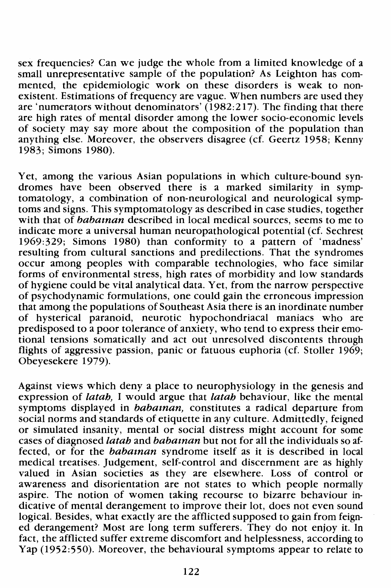sex frequencies? Can we judge the whole from a limited knowledge of a small unrepresentative sample of the population? As Leighton has commented, the epidemiologic work on these disorders is weak to nonexistent. Estimations of frequency are vague. When numbers are used they are 'numerators without denominators' (1982:217). The finding that there are high rates of mental disorder among the lower socio-economic levels of society may say more about the composition of the population than anything else. Moreover, the observers disagree (cf. Geertz 1958; Kenny 1983; Simons 1980).

Yet, among the various Asian populations in which culture-bound syndromes have been observed there is a marked similarity in symptomatology, a combination of non-neurological and neurological symptoms and signs. This symptomatology as described in case studies, together with that of *babaman* described in local medical sources, seems to me to indicate more a universal human neuropathological potential ( cf. Sechrest 1969:329; Simons 1980) than conformity to a pattern of 'madness' resulting from cultural sanctions and predilections. That the syndromes occur among peoples with comparable technologies, who face similar forms of environmental stress, high rates of morbidity and low standards of hygiene could be vital analytical data. Yet, from the narrow perspective of psychodynamic formulations, one could gain the erroneous impression that among the populations of Southeast Asia there is an inordinate number of hysterical paranoid, neurotic hypochondriacal maniacs who are predisposed to a poor tolerance of anxiety, who tend to express their emotional tensions somatically and act out unresolved discontents through flights of aggressive passion, panic or fatuous euphoria (cf. Stoller 1969; Obeyesekere 1979).

Against views which deny a place to neurophysiology in the genesis and expression of *latah*, I would argue that *latah* behaviour, like the mental symptoms displayed in *babatnan*, constitutes a radical departure from social norms and standards of etiquette in any culture. Admittedly, feigned or simulated insanity, mental or social distress might account for some cases of diagnosed *latah* and *babat and* but not for all the individuals so affected, or for the babaman syndrome itself as it is described in local medical treatises. Judgement, self-control and discernment are as highly valued in Asian societies as they are elsewhere. Loss of control or awareness and disorientation are not states to which people normally aspire. The notion of women taking recourse to bizarre behaviour indicative of mental derangement to improve their lot, does not even sound logical. Besides, what exactly are the afflicted supposed to gain from feigned derangement? Most are long term sufferers. They do not enjoy it. In fact, the afflicted suffer extreme discomfort and helplessness, according to Yap (1952:550). Moreover, the behavioural symptoms appear to relate to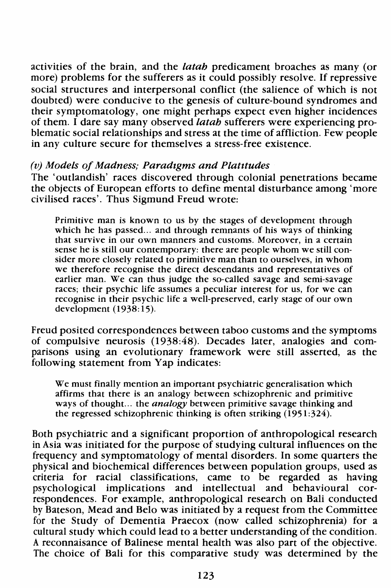activities of the brain, and the *latah* predicament broaches as many (or more) problems for the sufferers as it could possibly resolve. If repressive social structures and interpersonal conflict (the salience of which is not doubted) were conducive to the genesis of culture-bound syndromes and their symptomatology, one might perhaps expect even higher incidences of them. I dare say many observed *latah* sufferers were experiencing problematic social relationships and stress at the time of affliction. Few people in any culture secure for themselves a stress-free existence.

#### *(v) Models of Madness; Paradtgms and Platttudes*

The 'outlandish' races discovered through colonial penetrations became the objects of European efforts to define mental disturbance among 'more civilised races'. Thus Sigmund Freud wrote:

Primitive man is known to us by the stages of development through which he has passed... and through remnants of his ways of thinking that survive in our own manners and customs. Moreover, in a certain sense he is still our contemporary: there are people whom we still consider more closely related to primitive man than to ourselves, in whom we therefore recognise the direct descendants and representatives of earlier man. We can thus judge the so-called savage and semi-savage races; their psychic life assumes a peculiar interest for us, for we can recognise in their psychic life a well-preserved, early stage of our own development  $(1938:15)$ .

Freud posited correspondences between taboo customs and the symptoms of compulsive neurosis (1938:48). Decades later, analogies and comparisons using an evolutionary framework were still asserted, as the following statement from Yap indicates:

We must finally mention an important psychiatric generalisation which affirms that there is an analogy between schizophrenic and primitive ways of thought ... the *analogy* between primitive savage thinking and the regressed schizophrenic thinking is often striking  $(1951:324)$ .

Both psychiatric and a significant proportion of anthropological research in Asia was initiated for the purpose of studying cultural influences on the frequency and symptomatology of mental disorders. In some quarters the physical and biochemical differences between population groups, used as criteria for racial classifications, came to be regarded as having psychological implications and intellectual and behavioural correspondences. For example, anthropological research on Bali conducted by Bateson, Mead and Belo was initiated by a request from the Committee for the Study of Dementia Praecox (now called schizophrenia) for a cultural study which could lead to a better understanding of the condition. A reconnaisance of Balinese mental health was also part of the objective. The choice of Bali for this comparative study was determined by the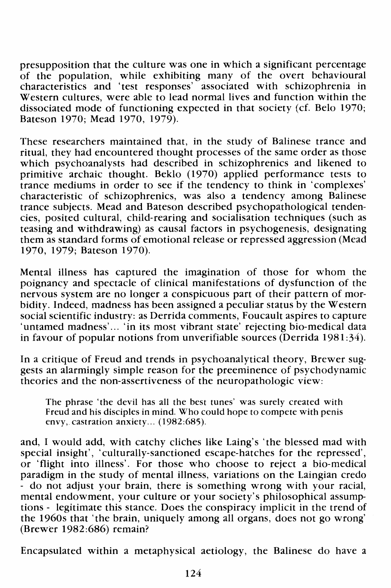presupposition that the culture was one in which a significant percentage of the population, while exhibiting many of the overt behavioural characteristics and 'test responses' associated with schizophrenia in Western cultures, were able to lead normal lives and function within the dissociated mode of functioning expected in that society (cf. Belo 1970; Bateson 1970; Mead 1970, 1979).

These researchers maintained that, in the study of Balinese trance and ritual, they had encountered thought processes of the same order as those which psychoanalysts had described in schizophrenics and likened to primitive archaic thought. Beklo (1970) applied performance tests to trance mediums in order to see if the tendency to think in 'complexes' characteristic of schizophrenics, was also a tendency among Balinese trance subjects. Mead and Bateson described psychopathological tendencies, posited cultural, child-rearing and socialisation techniques (such as teasing and withdrawing) as causal factors in psychogenesis, designating them as standard forms of emotional release or repressed aggression (Mead 1970, 1979; Bateson 1970).

Mental illness has captured the imagination of those for whom the poignancy and spectacle of clinical manifestations of dysfunction of the nervous system are no longer a conspicuous part of their pattern of morbidity. Indeed, madness has been assigned a peculiar status by the Western social scientific industry: as Derrida comments, Foucault aspires to capture 'untamed madness'... 'in its most vibrant state' rejecting bio-medical data in favour of popular notions from unverifiable sources (Derrida 1981:34).

In a critique of Freud and trends in psychoanalytical theory, Brewer suggests an alarmingly simple reason for the preeminence of psychodynamic theories and the non-assertiveness of the neuropathologic view:

The phrase 'the devil has all the best tunes' was surely created with Freud and his disciples in mind. Who could hope to compete with penis envy,. castration anxiety ... (1982:685).

and, I would add, with catchy cliches like Laing's 'the blessed mad with special insight', 'culturally-sanctioned escape-hatches for the repressed', or 'flight into illness'. For those who choose to reject a bio-medical paradigm in the study of mental illness, variations on the Laingian credo - do not adjust your brain, there is something wrong with your racial, mental endowment, your culture or your society's philosophical assumptions - legitimate this stance. Does the conspiracy implicit in the trend of the 1960s that 'the brain, uniquely among all organs, does not go wrong' (Brewer 1982:686) remain?

Encapsulated within a metaphysical aetiology, the Balinese do have a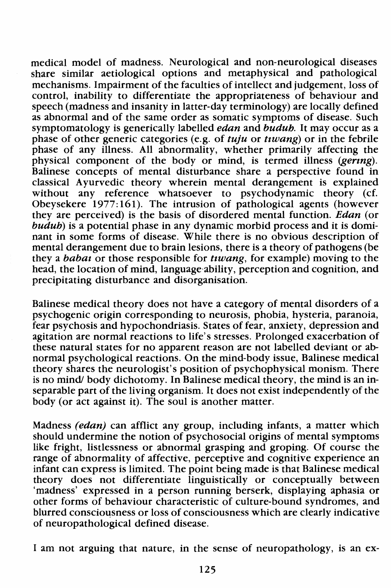medical model of madness. Neurological and non-neurological diseases share similar aetiological options and metaphysical and pathological mechanisms. Impairment of the faculties of intellect and judgement, loss of control, inability to differentiate the appropriateness of behaviour and speech (madness and insanity in latter-day terminology) are locally defined as abnormal and of the same order as somatic symptoms of disease. Such symptomatology is generically labelled *edan* and *budub*. It may occur as a phase of other generic categories (e.g. of *tuju* or *tiwang*) or in the febrile phase of any illness. All abnormality, whether primarily affecting the physical component of the body or mind, is termed illness (gering). Balinese concepts of mental disturbance share a perspective found in classical Ayurvedic theory wherein mental derangement is explained without any reference whatsoever to psychodynamic theory (cf. Obeysekere 1977: 161 ). The intrusion of pathological agents (however they are perceived) is the basis of disordered mental function. Edan (or  $budu$ ) is a potential phase in any dynamic morbid process and it is dominant in some forms of disease. While there is no obvious description of mental derangement due to brain lesions, there is a theory of pathogens (be they a babat or those responsible for tiwang, for example) moving to the head, the location of mind, language·ability, perception and cognition, and precipitating disturbance and disorganisation.

Balinese medical theory does not have a category of mental disorders of a psychogenic origin corresponding to neurosis, phobia, hysteria, paranoia, fear psychosis and hypochondriasis. States of fear, anxiety, depression and agitation are normal reactions to life's stresses. Prolonged exacerbation of these natural states for no apparent reason are not labelled deviant or abnormal psychological reactions. On the mind-body issue, Balinese medical theory shares the neurologist's position of psychophysical monism. There is no mind/ body dichotomy. In Balinese medical theory, the mind is an inseparable part of the living organism. It does not exist independently of the body (or act against it). The soul is another matter.

Madness (edan) can afflict any group, including infants, a matter which should undermine the notion of psychosocial origins of mental symptoms like fright, listlessness or abnormal grasping and groping. Of course the range of abnormality of affective, perceptive and cognitive experience an infant can express is limited. The point being made is that Balinese medical theory does not differentiate linguistically or conceptually between 'madness' expressed in a person running berserk, displaying aphasia or other forms of behaviour characteristic of culture-bound syndromes, and blurred consciousness or loss of consciousness which are clearly indicative of neuropathological defined disease.

I am not arguing that nature, in the sense of neuropathology, is an ex-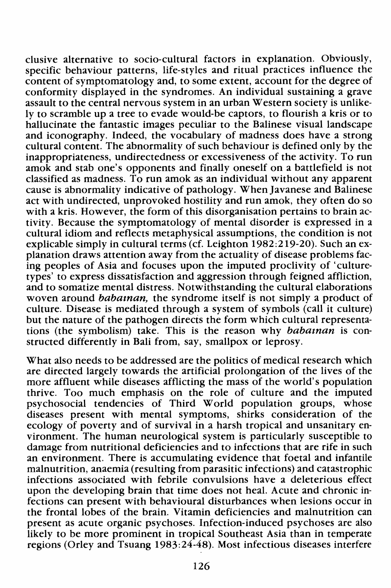elusive alternative to socio-cultural factors in explanation. Obviously, specific behaviour patterns, life-styles and ritual practices influence the content of symptomatology and, to some extent, account for the degree of conformity displayed in the syndromes. An individual sustaining a grave assault to the central nervous system in an urban Western society is unlikely to scramble up a tree to evade would-be captors, to flourish a kris or to hallucinate the fantastic images peculiar to the Balinese visual landscape and iconography. Indeed, the vocabulary of madness does have a strong cultural content. The abnormality of such behaviour is defined only by the inappropriateness, undirectedness or excessiveness of the activity. To run amok and stab one's opponents and finally oneself on a battlefield is not classified as madness. To run amok as an individual without any apparent cause is abnormality indicative of pathology. When Javanese and Balinese act with undirected, unprovoked hostility and run amok, they often do so with a kris. However, the form of this disorganisation pertains to brain activity. Because the symptomatology of mental disorder is expressed in a cultural idiom and reflects metaphysical assumptions, the condition is not explicable simply in cultural terms (cf. Leighton 1982:219-20). Such an explanation draws attention away from the actuality of disease problems facing peoples of Asia and focuses upon the imputed proclivity of 'culturetypes' to express dissatisfaction and aggression through feigned affliction, and to somatize mental distress. Notwithstanding the cultural elaborations woven around *babatnan*, the syndrome itself is not simply a product of culture. Disease is mediated through a system of symbols (call it culture) but the nature of the pathogen directs the form which cultural representations (the symbolism) take. This is the reason why babaman is constructed differently in Bali from, say, smallpox or leprosy.

What also needs to be addressed are the politics of medical research which are directed largely towards the artificial prolongation of the lives of the more affluent while diseases afflicting the mass of the world's population thrive. Too much emphasis on the role of culture and the imputed psychosocial tendencies of Third World population groups, whose diseases present with mental symptoms, shirks consideration of the ecology of poverty and of survival in a harsh tropical and unsanitary environment. The human neurological system is particularly susceptible to damage from nutritional deficiencies and to infections that are rife in such an environment. There is accumulating evidence that foetal and infantile malnutrition, anaemia (resulting from parasitic infections) and catastrophic infections associated with febrile convulsions have a deleterious effect upon the developing brain that time does not heal. Acute and chronic infections can present with behavioural disturbances when lesions occur in the frontal lobes of the brain. Vitamin deficiencies and malnutrition can present as acute organic psychoses. Infection-induced psychoses are also likely to be more prominent in tropical Southeast Asia than in temperate regions (Orley and Tsuang 1983:24-48). Most infectious diseases interfere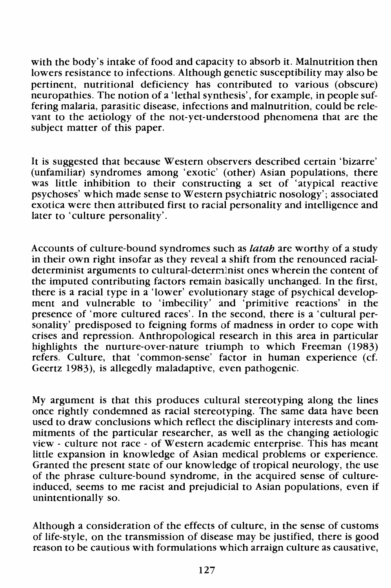with the body's intake of food and capacity to absorb it. Malnutrition then lowers resistance to infections. Although genetic susceptibility may also be pertinent, nutritional deficiency has contributed to various (obscure) neuropathies. The notion of a 'lethal synthesis', for example, in people suffering malaria, parasitic disease, infections and malnutrition, could be relevant to the aetiology of the not-yet-understood phenomena that are the subject matter of this paper.

It is suggested that because Western observers described certain 'bizarre' (unfamiliar) syndromes among 'exotic' (other) Asian populations, there was little inhibition to their constructing a set of 'atypical reactive psychoses' which made sense to Western psychiatric nosology'; associated exotica were then attributed first to racial personality and intelligence and later to 'culture personality'.

Accounts of culture-bound syndromes such as *latah* are worthy of a study in their own right insofar as they reveal a shift from the renounced racialdeterminist arguments to cultural-determinist ones wherein the content of the imputed contributing factors remain basically unchanged. In the first, there is a racial type in a 'lower' evolutionary stage of psychical development and vulnerable to 'imbecility' and 'primitive reactions' in the presence of 'more cultured races'. In the second, there is a 'cultural personality' predisposed to feigning forms of madness in order to cope with crises and repression. Anthropological research in this area in particular highlights the nurture-over-nature triumph to which Freeman (1983) refers. Culture, that 'common-sense' factor in human experience (cf. Geertz 1983), is allegedly maladaptive, even pathogenic.

My argument is that this produces cultural stereotyping along the lines once rightly condemned as racial stereotyping. The same data have been used to draw conclusions which reflect the disciplinary interests and commitments of the particular researcher, as well as the changing aetiologic view - culture not race - of Western academic enterprise. This has meant little expansion in knowledge of Asian medical problems or experience. Granted the present state of our knowledge of tropical neurology, the use of the phrase culture-bound syndrome, in the acquired sense of cultureinduced, seems to me racist and prejudicial to Asian populations, even if unintentionally so.

Although a consideration of the effects of culture, in the sense of customs of life-style, on the transmission of disease may be justified, there is good reason to be cautious with formulations which arraign culture as causative,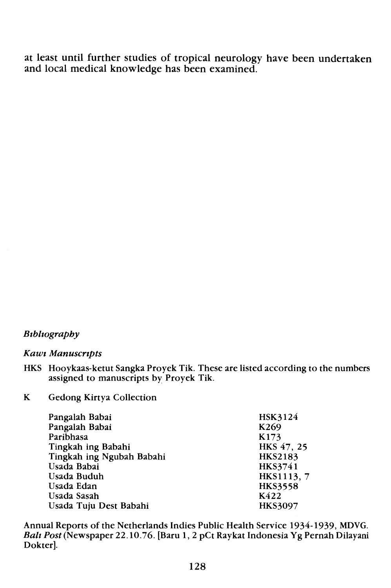at least until further studies of tropical neurology have been undertaken and local medical knowledge has been examined.

#### *Btblwgraphy*

#### *Kawt Manuscrzpts*

- HKS Hooykaas-ketut Sangka Proyek Tik. These are listed according to the numbers assigned to manuscripts by Proyek Tik.
- K Gedong Kirtya Collection

| HSK3124          |
|------------------|
| K <sub>269</sub> |
| K173             |
| HKS 47, 25       |
| <b>HKS2183</b>   |
| HKS3741          |
| HKS1113, 7       |
| <b>HKS3558</b>   |
| K422             |
| <b>HKS3097</b>   |
|                  |

Annual Reports of the Netherlands Indies Public Health Service 1934-1939, MDVG. *Bait* Post(Newspaper 22.10.76. [Baru 1, 2 pCt Raykat Indonesia Yg Pernah Dilayani Dokter].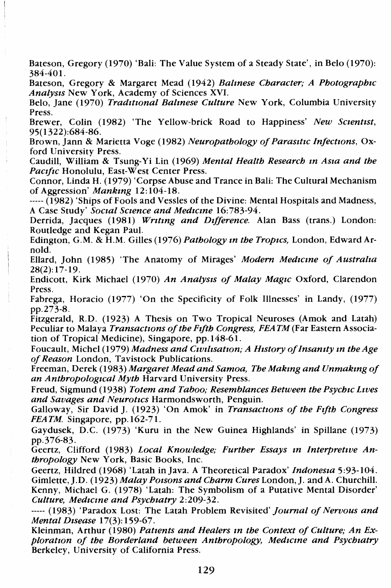Bateson, Gregory (1970) 'Bali: The Value System of a Steady State', in Belo (1970): 384-401.

Bateson, Gregory & Margaret Mead (1942) *Balmese Character; A Photographtc Analysts* New York, Academy of Sciences XVI.

Belo, Jane (1970) *Tradtttonal Balmese Culture* New York, Columbia University Press.

Brewer, Colin (1982) 'The Yellow-brick Road to Happiness' *New Sctenttst,*  95(1322):684-86.

Brown, }ann & Marietta Voge (1982) *Neuropathology of Parastttc Infecttons,* Oxford University Press.

Caudill, William & Tsung-Yi Lin (1969) *Mental Health Research m Asta and the Pactftc* Honolulu, East-West Center Press.

Connor, Linda H. (1979) 'Corpse Abuse and Trance in Bali: The Cultural Mechanism of Aggression' *Mankmg* 12:104-18.

----- (1982) 'Ships of Fools and Vessles of the Divine: Mental Hospitals and Madness, A Case Study' *Soctal Sctence and Medtcme* 16:783-94.

Derrida, Jacques (1981) *Wrttmg and Dtfference.* Alan Bass (trans.) London: Routledge and Kegan Paul.

Edington, G.M. & H.M. Gilles (1976) *Pathology m the Troptcs,* London, Edward Arnold.

Ellard, John (1985) 'The Anatomy of Mirages' *Modern Medzcme of Australta*  28(2):17-19.

Endicott, Kirk Michael (1970) *An Analysts of Malay Magtc* Oxford, Clarendon Press.

Fabrega, Horacio (1977) 'On the Specificity of Folk Illnesses' in Landy, (1977) pp.273-8.

Fitzgerald, R.D. (1923) A Thesis on Two Tropical Neuroses (Amok and Latah) Peculiar to Malaya *Transactrons of the Ftfth Congress, FEATM* (Far Eastern Association of Tropical Medicine), Singapore, pp.148-61.

Foucault, Michel (1979) *Madness and Cwtltsatton; A Htstory of Insantty m the Age of Reason* London, Tavistock Publications.

Freeman, Derek (1983) *Margaret Mead and Samoa, The Makmg and Unmakmg of an Anthropologrcal Myth* Harvard University Press.

Freud, Sigmund (1938) *Totem and Taboo; Resemblances Between the Psychtc Lwes and Savages and Neurotrcs* Harmondsworth, Penguin.

Galloway, Sir David J. (1923) 'On Amok' in *Transactwns of the Fifth Congress FEATM.* Singapore, pp.162-71.

Gaydusek, D.C. (1973) 'Kuru in the New Guinea Highlands' in Spillane (1973) pp.376-83.

Geertz, Clifford (1983) *Local Knowledge; Further Essays m Interpretwe Anthropology* New York, Basic Books, Inc.

Geertz, Hildred (1968) 'Latah in Java. A Theoretical Paradox' *Indonesta* 5:93-104. Gimlette, J.D. (1923) *Malay Poisons and Charm Cures* London, J. and A. Churchill. Kenny, Michael G. (1978) 'Latah: The Symbolism of a Putative Mental Disorder' *Culture, Medtcme and Psychtatry* 2:209-32.

----- (1983) 'Paradox Lost: The Latah Problem Revisited' *journal of Nervous and Mental Dtsease* 17(3): 159-67.

Kleinman, Arthur (1980) *Pattents and Healers m the Context of Culture; An Exploratton of the Borderland between Anthropology, Medtcme and Psychtatry*  Berkeley, University of California Press.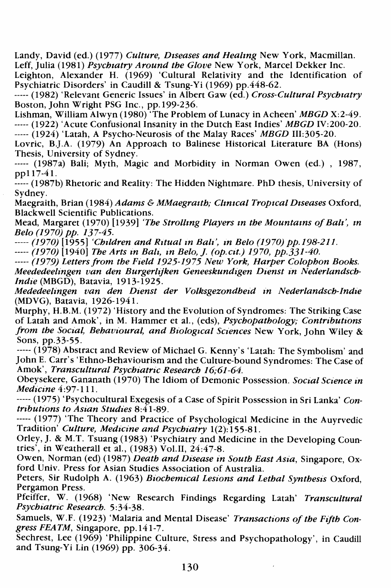Landy, David (ed.) (1977) *Culture, Drseases and Healmg* New York, Macmillan. Leff, Julia (1981) *Psychratry Around the Glove* New York, Marcel Dekker Inc.

Leighton, Alexander H. (1969) 'Cultural Relativity and the Identification of Psychiatric Disorders' in Caudill & Tsung-Yi (1969) pp.448-62.

----- (1982) 'Relevant Generic Issues' in Albert Gaw (ed.) *Cross-Cultural Psychratry*  Boston, John Wright PSG Inc., pp.199-236.

Lishman, William Alwyn (1980) 'The Problem of Lunacy in Acheen' *MBGD* X:2-49. ----- (1922) 'Acute Confusional Insanity in the Dutch East Indies' *MBGD* IV:200-20.

----- (1924) 'Latah, A Psycho-Neurosis of the Malay Races' *MBGD* III:305-20.

Lovric, B.].A. (1979) An Approach to Balinese Historical Literature BA (Hons) Thesis, University of Sydney.

----- (1987a) Bali; Myth, Magic and Morbidity in Norman Owen (ed.) , 1987, pp117-41.

----- (1987b) Rhetoric and Reality: The Hidden Nightmare. PhD thesis, University of Sydney.

Maegraith, Brian (1984) *Adams* & *MMaegrarth; Clmrcal Troprcal Drseases* Oxford, Blackwell Scientific Publications.

Mead, Margaret (1970) [1939] *'The Strollmg Players m the Mountams of Bait', m Belo (1970) pp. 137-45.* 

----- *(1970)* [1955] 'Children and Ritual in Bali', in Belo (1970) pp.198-211.

----- *(1970)* [1940] *The Arts in Bali, in Belo, J. (op.cit.)* 1970, pp.331-40.

----- *(1979) Letters from the Freid 1925-1975 New York, Harper Colophon Books. Meededeelmgen van den Burgerlzjken Geneeskundrgen Dzenst m Nederlandsch-Indre* (MBGD), Batavia, 1913-1925.

*Mededeellngen van den Dzenst der Volksgezondhezd m Nederlandsch-Indze*  (MDVG), Batavia, 1926-1941.

Murphy, H.B.M. (1972) 'History and the Evolution of Syndromes: The Striking Case of Latah and Amok', in M. Hammer et al., (eds), *Psychopathology; Contributions from the Social, Behavioural, and Biological Sciences New York, John Wiley &* Sons, pp.33-55.

----- (1978) Abstract and Review of Michael G. Kenny's 'Latah: The Symbolism' and John E. Carr's 'Ethno-Behaviourism and the Culture-bound Syndromes: The Case of Amok', *Transcultural Psychiatnc Research 16;61-64.* 

Obeysekere, Gananath (1970) The Idiom of Demonic Possession. *Social Science in Medicine* 4:97-111.

----- (1975) 'Psychocultural Exegesis of a Case of Spirit Possession in Sri Lanka' *Contributzons to Asran Studies* 8:41-89.

----- (1977) 'The Theory and Practice of Psychological Medicine in the Auyrvedic Tradition' *Culture, Medicine and Psychiatry* 1(2): 155-81.

Orley, *].* & M.T. Tsuang (1983) 'Psychiatry and Medicine in the Developing Countries', in Weatherall et al.,  $(1983)$  Vol.II,  $24:47-8$ .

Owen, Norman (ed) (1987) *Death and Disease in South East Asia,* Singapore, Oxford Univ. Press for Asian Studies Association of Australia.

Peters, Sir Rudolph A. (1963) *Biochemical Lesions and Lethal Synthesis* Oxford, Pergamon Press.

Pfeiffer, W. (1968) 'New Research Findings Regarding Latah' *Transcultural Psychiatric Research.* 5:34-38.

Samuels, W.F. (1923) 'Malaria and Mental Disease' *Transactions of the Fzfth Congress FEATM,* Singapore, pp. 141-7.

Sechrest, Lee (1969) 'Philippine Culture, Stress and Psychopathology', in Caudill and Tsung-Yi Lin (1969) pp. 306-34.